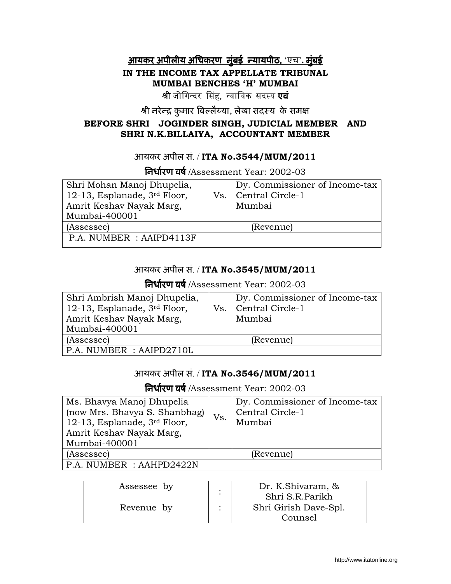# <u>आयकर अपीलीय अधिकरण मुंबई न्यायपीठ, 'एच', मुंबई </u> IN THE INCOME TAX APPELLATE TRIBUNAL MUMBAI BENCHES 'H' MUMBAI

श्री जोगिन्दर सिंह, न्यायिक सदस्य **एवं** 

श्री नरेन्द्र कुमार बिल्लैय्या, लेखा सदस्य के समक्ष

## BEFORE SHRI JOGINDER SINGH, JUDICIAL MEMBER AND SHRI N.K.BILLAIYA, ACCOUNTANT MEMBER

# आयकर अपील सं. / ITA No.3544/MUM/2011

तिर्धारण वर्ष /Assessment Year: 2002-03

| Shri Mohan Manoj Dhupelia,<br>12-13, Esplanade, $3rd$ Floor,<br>Amrit Keshav Nayak Marg,<br>Mumbai-400001 | Dy. Commissioner of Income-tax<br>Vs.   Central Circle-1<br>Mumbai |
|-----------------------------------------------------------------------------------------------------------|--------------------------------------------------------------------|
| (Assessee)                                                                                                | (Revenue)                                                          |
| P.A. NUMBER : AAIPD4113F                                                                                  |                                                                    |

## आयकर अपील सं. / ITA No.3545/MUM/2011

तिर्धारण वर्ष /Assessment Year: 2002-03

| Shri Ambrish Manoj Dhupelia,   | Dy. Commissioner of Income-tax |
|--------------------------------|--------------------------------|
| 12-13, Esplanade, $3rd$ Floor, | Vs.   Central Circle-1         |
| Amrit Keshav Nayak Marg,       | Mumbai                         |
| Mumbai-400001                  |                                |
| (Assessee)                     | (Revenue)                      |
| $ $ P.A. NUMBER : AAIPD2710L   |                                |

# आयकर अपील सं. / ITA No.3546/MUM/2011

तिर्धारण वर्ष /Assessment Year: 2002-03

| Ms. Bhavya Manoj Dhupelia<br>(now Mrs. Bhavya S. Shanbhag)<br>12-13, Esplanade, $3rd$ Floor,<br>Amrit Keshav Nayak Marg,<br>Mumbai-400001 | Vs. | Dy. Commissioner of Income-tax<br>Central Circle-1<br>Mumbai |
|-------------------------------------------------------------------------------------------------------------------------------------------|-----|--------------------------------------------------------------|
| (Assessee)                                                                                                                                |     | (Revenue)                                                    |
| MINDED<br>$\cdot$ a a lind $\cap$ and $\cap$ $\mathbb{N}$                                                                                 |     |                                                              |

P.A. NUMBER : AAHPD2422N

| Assessee by | Dr. K.Shivaram, &<br>Shri S.R.Parikh |
|-------------|--------------------------------------|
| Revenue by  | Shri Girish Dave-Spl.                |
|             | Counsel                              |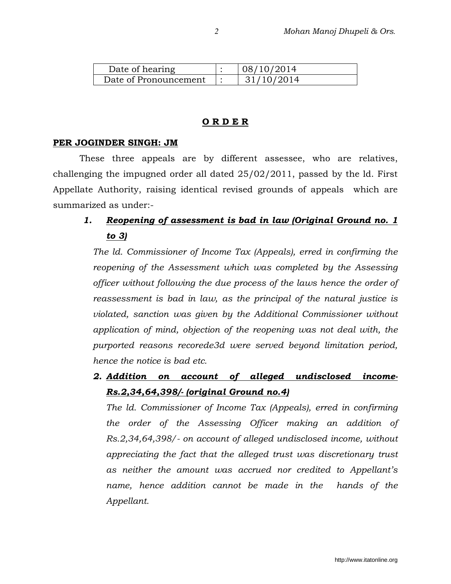| Date of hearing       | 08/10/2014 |
|-----------------------|------------|
| Date of Pronouncement | 31/10/2014 |

#### O R D E R

#### PER JOGINDER SINGH: JM

These three appeals are by different assessee, who are relatives, challenging the impugned order all dated 25/02/2011, passed by the ld. First Appellate Authority, raising identical revised grounds of appeals which are summarized as under:-

# 1. Reopening of assessment is bad in law (Original Ground no. 1 to 3)

The ld. Commissioner of Income Tax (Appeals), erred in confirming the reopening of the Assessment which was completed by the Assessing officer without following the due process of the laws hence the order of reassessment is bad in law, as the principal of the natural justice is violated, sanction was given by the Additional Commissioner without application of mind, objection of the reopening was not deal with, the purported reasons recorede3d were served beyond limitation period, hence the notice is bad etc.

2. Addition on account of alleged undisclosed income-Rs.2,34,64,398/- (original Ground no.4)

The ld. Commissioner of Income Tax (Appeals), erred in confirming the order of the Assessing Officer making an addition of Rs.2,34,64,398/- on account of alleged undisclosed income, without appreciating the fact that the alleged trust was discretionary trust as neither the amount was accrued nor credited to Appellant's name, hence addition cannot be made in the hands of the Appellant.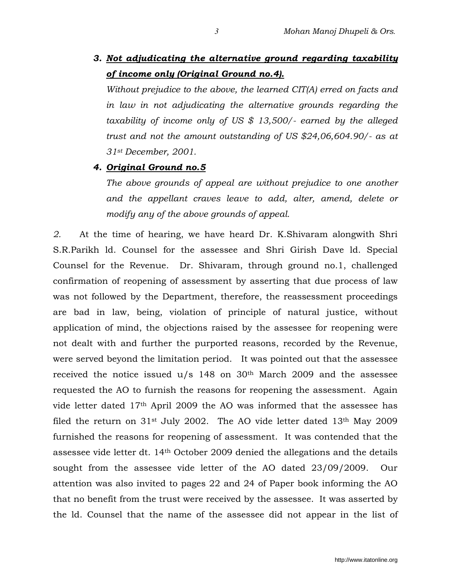3. Not adjudicating the alternative ground regarding taxability of income only (Original Ground no.4).

Without prejudice to the above, the learned CIT(A) erred on facts and in law in not adjudicating the alternative grounds regarding the taxability of income only of US \$ 13,500/- earned by the alleged trust and not the amount outstanding of US \$24,06,604.90/- as at 31st December, 2001.

#### 4. Original Ground no.5

The above grounds of appeal are without prejudice to one another and the appellant craves leave to add, alter, amend, delete or modify any of the above grounds of appeal.

2. At the time of hearing, we have heard Dr. K.Shivaram alongwith Shri S.R.Parikh ld. Counsel for the assessee and Shri Girish Dave ld. Special Counsel for the Revenue. Dr. Shivaram, through ground no.1, challenged confirmation of reopening of assessment by asserting that due process of law was not followed by the Department, therefore, the reassessment proceedings are bad in law, being, violation of principle of natural justice, without application of mind, the objections raised by the assessee for reopening were not dealt with and further the purported reasons, recorded by the Revenue, were served beyond the limitation period. It was pointed out that the assessee received the notice issued  $u/s$  148 on 30<sup>th</sup> March 2009 and the assessee requested the AO to furnish the reasons for reopening the assessment. Again vide letter dated 17th April 2009 the AO was informed that the assessee has filed the return on  $31$ <sup>st</sup> July 2002. The AO vide letter dated  $13<sup>th</sup>$  May 2009 furnished the reasons for reopening of assessment. It was contended that the assessee vide letter dt. 14th October 2009 denied the allegations and the details sought from the assessee vide letter of the AO dated 23/09/2009. Our attention was also invited to pages 22 and 24 of Paper book informing the AO that no benefit from the trust were received by the assessee. It was asserted by the ld. Counsel that the name of the assessee did not appear in the list of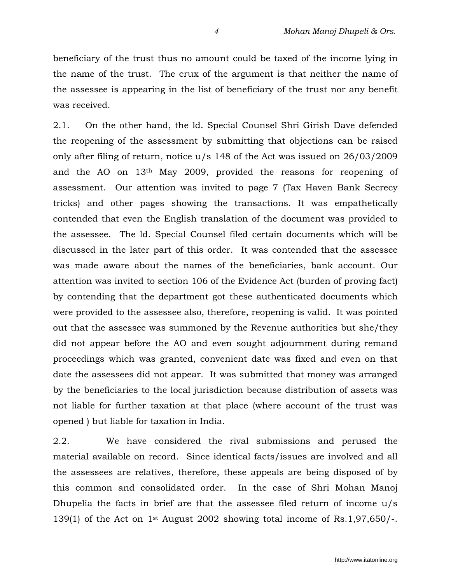beneficiary of the trust thus no amount could be taxed of the income lying in the name of the trust. The crux of the argument is that neither the name of the assessee is appearing in the list of beneficiary of the trust nor any benefit was received.

2.1. On the other hand, the ld. Special Counsel Shri Girish Dave defended the reopening of the assessment by submitting that objections can be raised only after filing of return, notice u/s 148 of the Act was issued on 26/03/2009 and the AO on 13th May 2009, provided the reasons for reopening of assessment. Our attention was invited to page 7 (Tax Haven Bank Secrecy tricks) and other pages showing the transactions. It was empathetically contended that even the English translation of the document was provided to the assessee. The ld. Special Counsel filed certain documents which will be discussed in the later part of this order. It was contended that the assessee was made aware about the names of the beneficiaries, bank account. Our attention was invited to section 106 of the Evidence Act (burden of proving fact) by contending that the department got these authenticated documents which were provided to the assessee also, therefore, reopening is valid. It was pointed out that the assessee was summoned by the Revenue authorities but she/they did not appear before the AO and even sought adjournment during remand proceedings which was granted, convenient date was fixed and even on that date the assessees did not appear. It was submitted that money was arranged by the beneficiaries to the local jurisdiction because distribution of assets was not liable for further taxation at that place (where account of the trust was opened ) but liable for taxation in India.

2.2. We have considered the rival submissions and perused the material available on record. Since identical facts/issues are involved and all the assessees are relatives, therefore, these appeals are being disposed of by this common and consolidated order. In the case of Shri Mohan Manoj Dhupelia the facts in brief are that the assessee filed return of income u/s 139(1) of the Act on 1st August 2002 showing total income of Rs.1,97,650/-.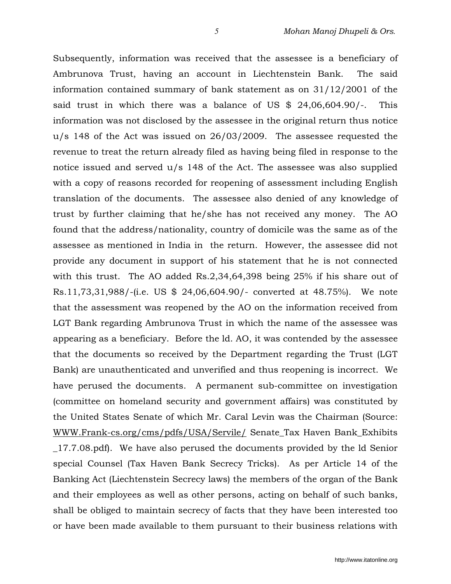Subsequently, information was received that the assessee is a beneficiary of Ambrunova Trust, having an account in Liechtenstein Bank. The said information contained summary of bank statement as on 31/12/2001 of the said trust in which there was a balance of US \$ 24,06,604.90/-. This information was not disclosed by the assessee in the original return thus notice u/s 148 of the Act was issued on 26/03/2009. The assessee requested the revenue to treat the return already filed as having being filed in response to the notice issued and served u/s 148 of the Act. The assessee was also supplied with a copy of reasons recorded for reopening of assessment including English translation of the documents. The assessee also denied of any knowledge of trust by further claiming that he/she has not received any money. The AO found that the address/nationality, country of domicile was the same as of the assessee as mentioned in India in the return. However, the assessee did not provide any document in support of his statement that he is not connected with this trust. The AO added Rs.2,34,64,398 being 25% if his share out of Rs.11,73,31,988/-(i.e. US \$ 24,06,604.90/- converted at 48.75%). We note that the assessment was reopened by the AO on the information received from LGT Bank regarding Ambrunova Trust in which the name of the assessee was appearing as a beneficiary. Before the ld. AO, it was contended by the assessee that the documents so received by the Department regarding the Trust (LGT Bank) are unauthenticated and unverified and thus reopening is incorrect. We have perused the documents. A permanent sub-committee on investigation (committee on homeland security and government affairs) was constituted by the United States Senate of which Mr. Caral Levin was the Chairman (Source: WWW.Frank-cs.org/cms/pdfs/USA/Servile/ Senate\_Tax Haven Bank\_Exhibits \_17.7.08.pdf). We have also perused the documents provided by the ld Senior special Counsel (Tax Haven Bank Secrecy Tricks). As per Article 14 of the Banking Act (Liechtenstein Secrecy laws) the members of the organ of the Bank and their employees as well as other persons, acting on behalf of such banks, shall be obliged to maintain secrecy of facts that they have been interested too or have been made available to them pursuant to their business relations with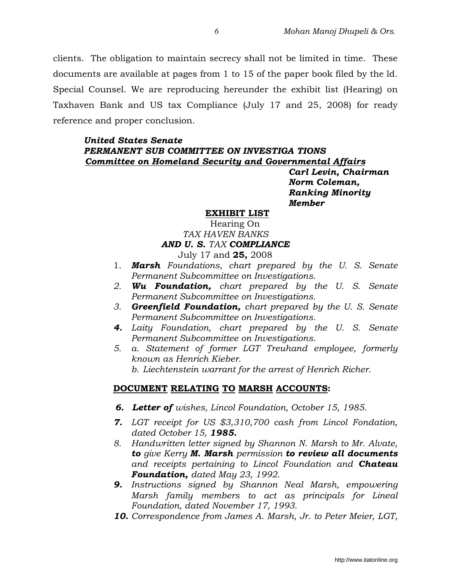clients. The obligation to maintain secrecy shall not be limited in time. These documents are available at pages from 1 to 15 of the paper book filed by the ld. Special Counsel. We are reproducing hereunder the exhibit list (Hearing) on Taxhaven Bank and US tax Compliance (July 17 and 25, 2008) for ready reference and proper conclusion.

#### United States Senate PERMANENT SUB COMMITTEE ON INVESTIGA TIONS Committee on Homeland Security and Governmental Affairs

Carl Levin, Chairman Norm Coleman, Ranking Minority Member

#### EXHIBIT LIST

## Hearing On TAX HAVEN BANKS AND U. S. TAX COMPLIANCE

July 17 and 25, 2008

- 1. **Marsh** Foundations, chart prepared by the U.S. Senate Permanent Subcommittee on Investigations.
- 2. Wu Foundation, chart prepared by the U.S. Senate Permanent Subcommittee on Investigations.
- 3. Greenfield Foundation, chart prepared by the U.S. Senate Permanent Subcommittee on Investigations.
- 4. Laity Foundation, chart prepared by the U. S. Senate Permanent Subcommittee on Investigations.
- 5. a. Statement of former LGT Treuhand employee, formerly known as Henrich Kieber.
	- b. Liechtenstein warrant for the arrest of Henrich Richer.

#### DOCUMENT RELATING TO MARSH ACCOUNTS:

- **6. Letter of** wishes, Lincol Foundation, October 15, 1985.
- 7. LGT receipt for US \$3,310,700 cash from Lincol Fondation, dated October 15, 1985.
- 8. Handwritten letter signed by Shannon N. Marsh to Mr. Alvate, to give Kerry M. Marsh permission to review all documents and receipts pertaining to Lincol Foundation and **Chateau** Foundation, dated May 23, 1992.
- **9.** Instructions signed by Shannon Neal Marsh, empowering Marsh family members to act as principals for Lineal Foundation, dated November 17, 1993.
- 10. Correspondence from James A. Marsh, Jr. to Peter Meier, LGT,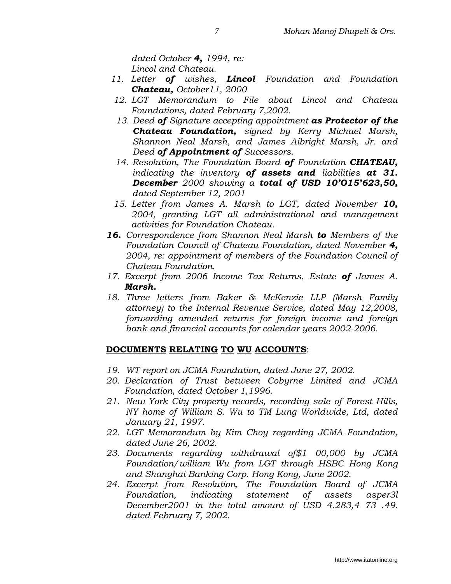dated October **4,** 1994, re: Lincol and Chateau.

- 11. Letter **of** wishes, **Lincol** Foundation and Foundation Chateau, October11, 2000
- 12. LGT Memorandum to File about Lincol and Chateau Foundations, dated February 7,2002.
- 13. Deed of Signature accepting appointment as Protector of the Chateau Foundation, signed by Kerry Michael Marsh, Shannon Neal Marsh, and James Aibright Marsh, Jr. and Deed of Appointment of Successors.
- 14. Resolution, The Foundation Board of Foundation CHATEAU, indicating the inventory of assets and liabilities at  $31$ . December 2000 showing a total of USD 10'015'623,50, dated September 12, 2001
- 15. Letter from James A. Marsh to LGT, dated November 10, 2004, granting LGT all administrational and management activities for Foundation Chateau.
- 16. Correspondence from Shannon Neal Marsh to Members of the Foundation Council of Chateau Foundation, dated November 4, 2004, re: appointment of members of the Foundation Council of Chateau Foundation.
- 17. Excerpt from 2006 Income Tax Returns, Estate of James A. Marsh.
- 18. Three letters from Baker & McKenzie LLP (Marsh Family attorney) to the Internal Revenue Service, dated May 12,2008, forwarding amended returns for foreign income and foreign bank and financial accounts for calendar years 2002-2006.

# DOCUMENTS RELATING TO WU ACCOUNTS:

- 19. WT report on JCMA Foundation, dated June 27, 2002.
- 20. Declaration of Trust between Cobyrne Limited and JCMA Foundation, dated October 1,1996.
- 21. New York City property records, recording sale of Forest Hills, NY home of William S. Wu to TM Lung Worldwide, Ltd, dated January 21, 1997.
- 22. LGT Memorandum by Kim Choy regarding JCMA Foundation, dated June 26, 2002.
- 23. Documents regarding withdrawal of\$1 00,000 by JCMA Foundation/william Wu from LGT through HSBC Hong Kong and Shanghai Banking Corp. Hong Kong, June 2002.
- 24. Excerpt from Resolution, The Foundation Board of JCMA Foundation, indicating statement of assets asper3l December2001 in the total amount of USD 4.283,4 73 .49. dated February 7, 2002.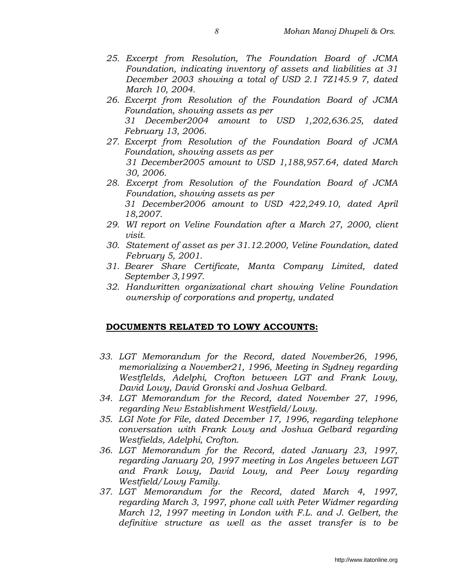- 25. Excerpt from Resolution, The Foundation Board of JCMA Foundation, indicating inventory of assets and liabilities at 31 December 2003 showing a total of USD 2.1 7Z145.9 7, dated March 10, 2004.
- 26. Excerpt from Resolution of the Foundation Board of JCMA Foundation, showing assets as per 31 December2004 amount to USD 1,202,636.25, dated February 13, 2006.
- 27. Excerpt from Resolution of the Foundation Board of JCMA Foundation, showing assets as per 31 December2005 amount to USD 1,188,957.64, dated March 30, 2006.
- 28. Excerpt from Resolution of the Foundation Board of JCMA Foundation, showing assets as per 31 December2006 amount to USD 422,249.10, dated April 18,2007.
- 29. WI report on Veline Foundation after a March 27, 2000, client visit.
- 30. Statement of asset as per 31.12.2000, Veline Foundation, dated February 5, 2001.
- 31. Bearer Share Certificate, Manta Company Limited, dated September 3,1997.
- 32. Handwritten organizational chart showing Veline Foundation ownership of corporations and property, undated

#### DOCUMENTS RELATED TO LOWY ACCOUNTS:

- 33. LGT Memorandum for the Record, dated November26, 1996, memorializing a November21, 1996, Meeting in Sydney regarding Westflelds, Adelphi, Crofton between LGT and Frank Lowy, David Lowy, David Gronski and Joshua Gelbard.
- 34. LGT Memorandum for the Record, dated November 27, 1996, regarding New Establishment Westfield/Lowy.
- 35. LGI Note for File, dated December 17, 1996, regarding telephone conversation with Frank Lowy and Joshua Gelbard regarding Westfields, Adelphi, Crofton.
- 36. LGT Memorandum for the Record, dated January 23, 1997, regarding January 20, 1997 meeting in Los Angeles between LGT and Frank Lowy, David Lowy, and Peer Lowy regarding Westfield/Lowy Family.
- 37. LGT Memorandum for the Record, dated March 4, 1997, regarding March 3, 1997, phone call with Peter Widmer regarding March 12, 1997 meeting in London with F.L. and J. Gelbert, the definitive structure as well as the asset transfer is to be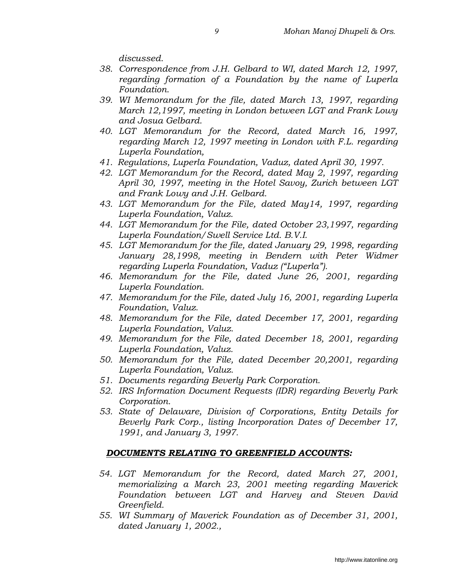discussed.

- 38. Correspondence from J.H. Gelbard to WI, dated March 12, 1997, regarding formation of a Foundation by the name of Luperla Foundation.
- 39. WI Memorandum for the file, dated March 13, 1997, regarding March 12,1997, meeting in London between LGT and Frank Lowy and Josua Gelbard.
- 40. LGT Memorandum for the Record, dated March 16, 1997, regarding March 12, 1997 meeting in London with F.L. regarding Luperla Foundation,
- 41. Regulations, Luperla Foundation, Vaduz, dated April 30, 1997.
- 42. LGT Memorandum for the Record, dated May 2, 1997, regarding April 30, 1997, meeting in the Hotel Savoy, Zurich between LGT and Frank Lowy and J.H. Gelbard.
- 43. LGT Memorandum for the File, dated May14, 1997, regarding Luperla Foundation, Valuz.
- 44. LGT Memorandum for the File, dated October 23,1997, regarding Luperla Foundation/Swell Service Ltd. B.V.I.
- 45. LGT Memorandum for the file, dated January 29, 1998, regarding January 28,1998, meeting in Bendern with Peter Widmer regarding Luperla Foundation, Vaduz ("Luperla").
- 46. Memorandum for the File, dated June 26, 2001, regarding Luperla Foundation.
- 47. Memorandum for the File, dated July 16, 2001, regarding Luperla Foundation, Valuz.
- 48. Memorandum for the File, dated December 17, 2001, regarding Luperla Foundation, Valuz.
- 49. Memorandum for the File, dated December 18, 2001, regarding Luperla Foundation, Valuz.
- 50. Memorandum for the File, dated December 20,2001, regarding Luperla Foundation, Valuz.
- 51. Documents regarding Beverly Park Corporation.
- 52. IRS Information Document Requests (IDR) regarding Beverly Park Corporation.
- 53. State of Delaware, Division of Corporations, Entity Details for Beverly Park Corp., listing Incorporation Dates of December 17, 1991, and January 3, 1997.

#### DOCUMENTS RELATING TO GREENFIELD ACCOUNTS:

- 54. LGT Memorandum for the Record, dated March 27, 2001, memorializing a March 23, 2001 meeting regarding Maverick Foundation between LGT and Harvey and Steven David Greenfield.
- 55. WI Summary of Maverick Foundation as of December 31, 2001, dated January 1, 2002.,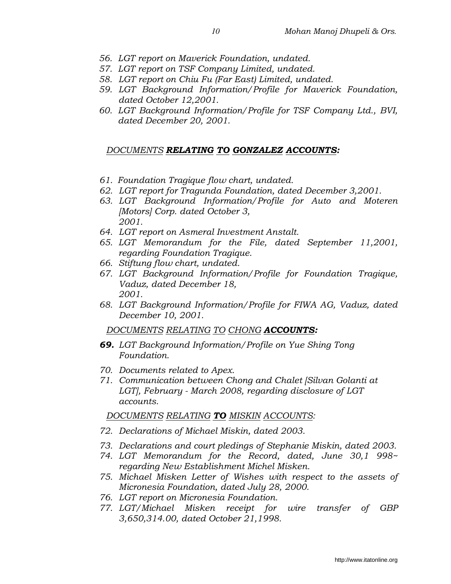- 56. LGT report on Maverick Foundation, undated.
- 57. LGT report on TSF Company Limited, undated.
- 58. LGT report on Chiu Fu (Far East) Limited, undated.
- 59. LGT Background Information/Profile for Maverick Foundation, dated October 12,2001.
- 60. LGT Background Information/Profile for TSF Company Ltd., BVI, dated December 20, 2001.

## DOCUMENTS RELATING TO GONZALEZ ACCOUNTS:

- 61. Foundation Tragique flow chart, undated.
- 62. LGT report for Tragunda Foundation, dated December 3,2001.
- 63. LGT Background Information/Profile for Auto and Moteren [Motors] Corp. dated October 3, 2001.
- 64. LGT report on Asmeral Investment Anstalt.
- 65. LGT Memorandum for the File, dated September 11,2001, regarding Foundation Tragique.
- 66. Stiftung flow chart, undated.
- 67. LGT Background Information/Profile for Foundation Tragique, Vaduz, dated December 18, 2001.
- 68. LGT Background Information/Profile for FIWA AG, Vaduz, dated December 10, 2001.

DOCUMENTS RELATING TO CHONG ACCOUNTS:

- 69. LGT Background Information/Profile on Yue Shing Tong Foundation.
- 70. Documents related to Apex.
- 71. Communication between Chong and Chalet [Silvan Golanti at LGT], February - March 2008, regarding disclosure of LGT accounts.

## DOCUMENTS RELATING TO MISKIN ACCOUNTS:

- 72. Declarations of Michael Miskin, dated 2003.
- 73. Declarations and court pledings of Stephanie Miskin, dated 2003.
- 74. LGT Memorandum for the Record, dated, June 30,1 998~ regarding New Establishment Michel Misken.
- 75. Michael Misken Letter of Wishes with respect to the assets of Micronesia Foundation, dated July 28, 2000.
- 76. LGT report on Micronesia Foundation.
- 77. LGT/Michael Misken receipt for wire transfer of GBP 3,650,314.00, dated October 21,1998.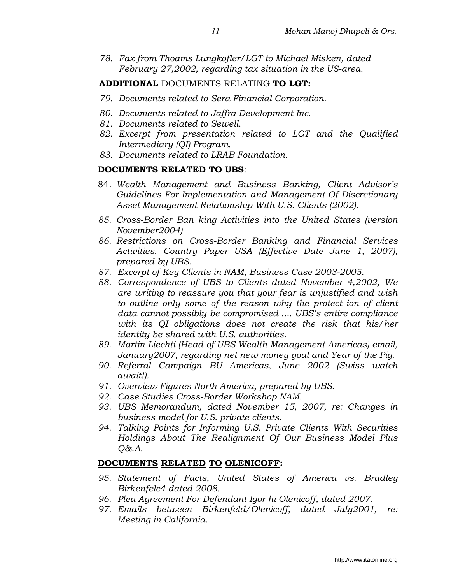78. Fax from Thoams Lungkofler/LGT to Michael Misken, dated February 27,2002, regarding tax situation in the US-area.

#### ADDITIONAL DOCUMENTS RELATING TO LGT:

- 79. Documents related to Sera Financial Corporation.
- 80. Documents related to Jaffra Development Inc.
- 81. Documents related to Sewell.
- 82. Excerpt from presentation related to LGT and the Qualified Intermediary (QI) Program.
- 83. Documents related to LRAB Foundation.

#### DOCUMENTS RELATED TO UBS:

- 84. Wealth Management and Business Banking, Client Advisor's Guidelines For Implementation and Management Of Discretionary Asset Management Relationship With U.S. Clients (2002).
- 85. Cross-Border Ban king Activities into the United States (version November2004)
- 86. Restrictions on Cross-Border Banking and Financial Services Activities. Country Paper USA (Effective Date June 1, 2007), prepared by UBS.
- 87. Excerpt of Key Clients in NAM, Business Case 2003-2005.
- 88. Correspondence of UBS to Clients dated November 4,2002, We are writing to reassure you that your fear is unjustified and wish to outline only some of the reason why the protect ion of client data cannot possibly be compromised .... UBS's entire compliance with its QI obligations does not create the risk that his/her identity be shared with U.S. authorities.
- 89. Martin Liechti (Head of UBS Wealth Management Americas) email, January2007, regarding net new money goal and Year of the Pig.
- 90. Referral Campaign BU Americas, June 2002 (Swiss watch await!).
- 91. Overview Figures North America, prepared by UBS.
- 92. Case Studies Cross-Border Workshop NAM.
- 93. UBS Memorandum, dated November 15, 2007, re: Changes in business model for U.S. private clients.
- 94. Talking Points for Informing U.S. Private Clients With Securities Holdings About The Realignment Of Our Business Model Plus Q&.A.

#### DOCUMENTS RELATED TO OLENICOFF:

- 95. Statement of Facts, United States of America vs. Bradley Birkenfelc4 dated 2008.
- 96. Plea Agreement For Defendant Igor hi Olenicoff, dated 2007.
- 97. Emails between Birkenfeld/Olenicoff, dated July2001, re: Meeting in California.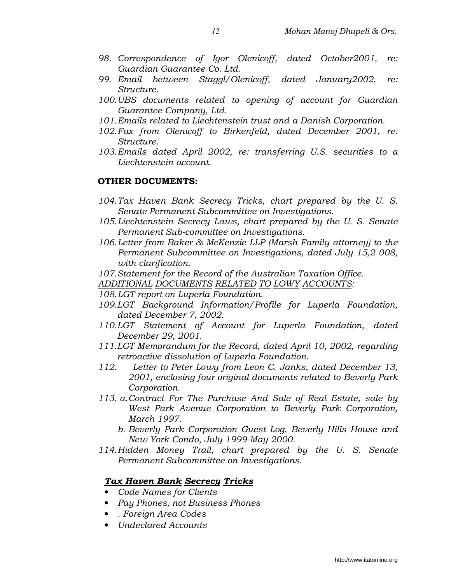- 98. Correspondence of Igor Olenicoff, dated October2001, re: Guardian Guarantee Co. Ltd.
- 99. Email between Staggl/Olenicoff, dated January2002, re: Structure.
- 100. UBS documents related to opening of account for Guardian Guarantee Company, Ltd.
- 101. Emails related to Liechtenstein trust and a Danish Corporation.
- 102. Fax from Olenicoff to Birkenfeld, dated December 2001, re: Structure.
- 103. Emails dated April 2002, re: transferring U.S. securities to a Liechtenstein account.

### OTHER DOCUMENTS:

- 104. Tax Haven Bank Secrecy Tricks, chart prepared by the U. S. Senate Permanent Subcommittee on Investigations.
- 105. Liechtenstein Secrecy Laws, chart prepared by the U. S. Senate Permanent Sub-committee on Investigations.
- 106. Letter from Baker & McKenzie LLP (Marsh Family attorney) to the Permanent Subcommittee on Investigations, dated July 15,2 008, with clarification.
- 107. Statement for the Record of the Australian Taxation Office.
- ADDITIONAL DOCUMENTS RELATED TO LOWY ACCOUNTS:
- 108. LGT report on Luperla Foundation.
- 109. LGT Background Information/Profile for Luperla Foundation, dated December 7, 2002.
- 110. LGT Statement of Account for Luperla Foundation, dated December 29, 2001.
- 111. LGT Memorandum for the Record, dated April 10, 2002, regarding retroactive dissolution of Luperla Foundation.
- 112. Letter to Peter Lowy from Leon C. Janks, dated December 13, 2001, enclosing four original documents related to Beverly Park Corporation.
- 113. a. Contract For The Purchase And Sale of Real Estate, sale by West Park Avenue Corporation to Beverly Park Corporation, March 1997.
	- b. Beverly Park Corporation Guest Log, Beverly Hills House and New York Condo, July 1999-May 2000.
- 114. Hidden Money Trail, chart prepared by the U. S. Senate Permanent Subcommittee on Investigations.

## Tax Haven Bank Secrecy Tricks

- Code Names for Clients
- Pay Phones, not Business Phones
- . Foreign Area Codes
- Undeclared Accounts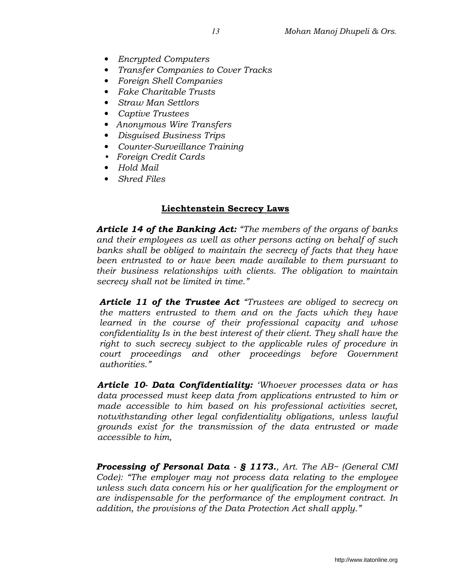- Encrypted Computers
- Transfer Companies to Cover Tracks
- Foreign Shell Companies
- Fake Charitable Trusts
- Straw Man Settlors
- Captive Trustees
- Anonymous Wire Transfers
- Disguised Business Trips
- Counter-Surveillance Training
- Foreign Credit Cards
- Hold Mail
- Shred Files

### Liechtenstein Secrecy Laws

Article 14 of the Banking Act: "The members of the organs of banks and their employees as well as other persons acting on behalf of such banks shall be obliged to maintain the secrecy of facts that they have been entrusted to or have been made available to them pursuant to their business relationships with clients. The obligation to maintain secrecy shall not be limited in time."

Article 11 of the Trustee Act "Trustees are obliged to secrecy on the matters entrusted to them and on the facts which they have learned in the course of their professional capacity and whose confidentiality Is in the best interest of their client. They shall have the right to such secrecy subject to the applicable rules of procedure in court proceedings and other proceedings before Government authorities."

Article 10- Data Confidentiality: 'Whoever processes data or has data processed must keep data from applications entrusted to him or made accessible to him based on his professional activities secret, notwithstanding other legal confidentiality obligations, unless lawful grounds exist for the transmission of the data entrusted or made accessible to him,

Processing of Personal Data -  $\S$  1173., Art. The AB~ (General CMI Code): "The employer may not process data relating to the employee unless such data concern his or her qualification for the employment or are indispensable for the performance of the employment contract. In addition, the provisions of the Data Protection Act shall apply."

http://www.itatonline.org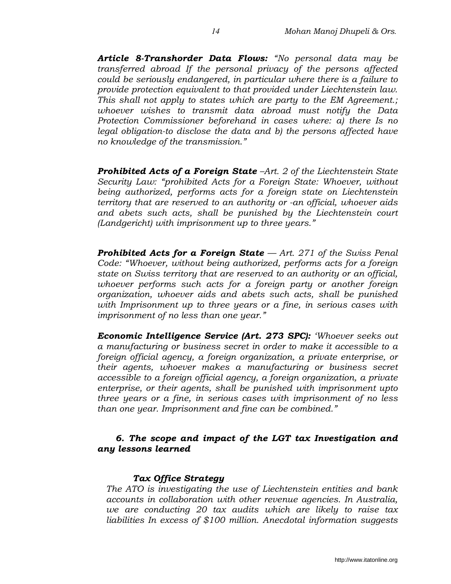Article 8-Transhorder Data Flows: "No personal data may be transferred abroad If the personal privacy of the persons affected could be seriously endangered, in particular where there is a failure to provide protection equivalent to that provided under Liechtenstein law. This shall not apply to states which are party to the EM Agreement.; whoever wishes to transmit data abroad must notify the Data Protection Commissioner beforehand in cases where: a) there Is no legal obligation-to disclose the data and b) the persons affected have no knowledge of the transmission."

**Prohibited Acts of a Foreign State**  $-Art$ . 2 of the Liechtenstein State Security Law: "prohibited Acts for a Foreign State: Whoever, without being authorized, performs acts for a foreign state on Liechtenstein territory that are reserved to an authority or -an official, whoever aids and abets such acts, shall be punished by the Liechtenstein court (Landgericht) with imprisonment up to three years."

**Prohibited Acts for a Foreign State**  $-A$ rt. 271 of the Swiss Penal Code: "Whoever, without being authorized, performs acts for a foreign state on Swiss territory that are reserved to an authority or an official, whoever performs such acts for a foreign party or another foreign organization, whoever aids and abets such acts, shall be punished with Imprisonment up to three years or a fine, in serious cases with imprisonment of no less than one year."

Economic Intelligence Service (Art. 273 SPC): 'Whoever seeks out a manufacturing or business secret in order to make it accessible to a foreign official agency, a foreign organization, a private enterprise, or their agents, whoever makes a manufacturing or business secret accessible to a foreign official agency, a foreign organization, a private enterprise, or their agents, shall be punished with imprisonment upto three years or a fine, in serious cases with imprisonment of no less than one year. Imprisonment and fine can be combined."

### 6. The scope and impact of the LGT tax Investigation and any lessons learned

#### Tax Office Strategy

The ATO is investigating the use of Liechtenstein entities and bank accounts in collaboration with other revenue agencies. In Australia, we are conducting 20 tax audits which are likely to raise tax liabilities In excess of \$100 million. Anecdotal information suggests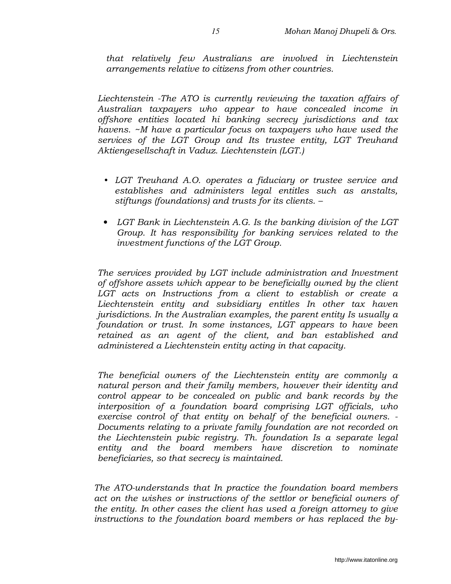that relatively few Australians are involved in Liechtenstein arrangements relative to citizens from other countries.

Liechtenstein -The ATO is currently reviewing the taxation affairs of Australian taxpayers who appear to have concealed income in offshore entities located hi banking secrecy jurisdictions and tax havens. ~M have a particular focus on taxpayers who have used the services of the LGT Group and Its trustee entity, LGT Treuhand Aktiengesellschaft in Vaduz. Liechtenstein (LGT.)

- LGT Treuhand A.O. operates a fiduciary or trustee service and establishes and administers legal entitles such as anstalts, stiftungs (foundations) and trusts for its clients. –
- LGT Bank in Liechtenstein A.G. Is the banking division of the LGT Group. It has responsibility for banking services related to the investment functions of the LGT Group.

The services provided by LGT include administration and Investment of offshore assets which appear to be beneficially owned by the client LGT acts on Instructions from a client to establish or create a Liechtenstein entity and subsidiary entitles In other tax haven jurisdictions. In the Australian examples, the parent entity Is usually a foundation or trust. In some instances, LGT appears to have been retained as an agent of the client, and ban established and administered a Liechtenstein entity acting in that capacity.

The beneficial owners of the Liechtenstein entity are commonly a natural person and their family members, however their identity and control appear to be concealed on public and bank records by the interposition of a foundation board comprising LGT officials, who exercise control of that entity on behalf of the beneficial owners. - Documents relating to a private family foundation are not recorded on the Liechtenstein pubic registry. Th. foundation Is a separate legal entity and the board members have discretion to nominate beneficiaries, so that secrecy is maintained.

The ATO-understands that In practice the foundation board members act on the wishes or instructions of the settlor or beneficial owners of the entity. In other cases the client has used a foreign attorney to give instructions to the foundation board members or has replaced the by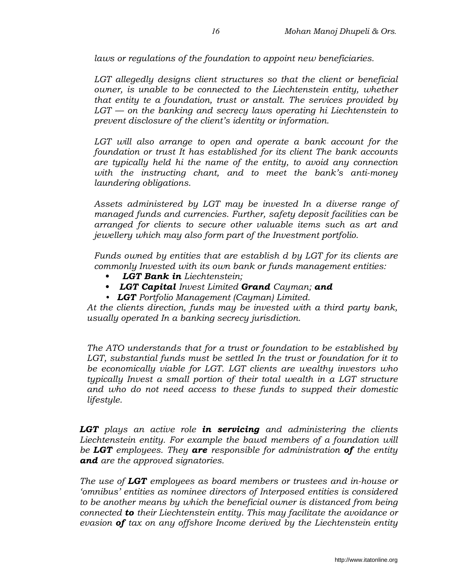laws or regulations of the foundation to appoint new beneficiaries.

LGT allegedly designs client structures so that the client or beneficial owner, is unable to be connected to the Liechtenstein entity, whether that entity te a foundation, trust or anstalt. The services provided by  $LGT$  — on the banking and secrecy laws operating hi Liechtenstein to prevent disclosure of the client's identity or information.

LGT will also arrange to open and operate a bank account for the foundation or trust It has established for its client The bank accounts are typically held hi the name of the entity, to avoid any connection with the instructing chant, and to meet the bank's anti-money laundering obligations.

Assets administered by LGT may be invested In a diverse range of managed funds and currencies. Further, safety deposit facilities can be arranged for clients to secure other valuable items such as art and jewellery which may also form part of the Investment portfolio.

Funds owned by entities that are establish d by LGT for its clients are commonly Invested with its own bank or funds management entities:

- LGT Bank in Liechtenstein;
- LGT Capital Invest Limited Grand Cayman; and
- LGT Portfolio Management (Cayman) Limited.

At the clients direction, funds may be invested with a third party bank, usually operated In a banking secrecy jurisdiction.

The ATO understands that for a trust or foundation to be established by LGT, substantial funds must be settled In the trust or foundation for it to be economically viable for LGT. LGT clients are wealthy investors who typically Invest a small portion of their total wealth in a LGT structure and who do not need access to these funds to supped their domestic lifestyle.

**LGT** plays an active role in servicing and administering the clients Liechtenstein entity. For example the bawd members of a foundation will be LGT employees. They are responsible for administration of the entity and are the approved signatories.

The use of LGT employees as board members or trustees and in-house or 'omnibus' entities as nominee directors of Interposed entities is considered to be another means by which the beneficial owner is distanced from being connected to their Liechtenstein entity. This may facilitate the avoidance or evasion of tax on any offshore Income derived by the Liechtenstein entity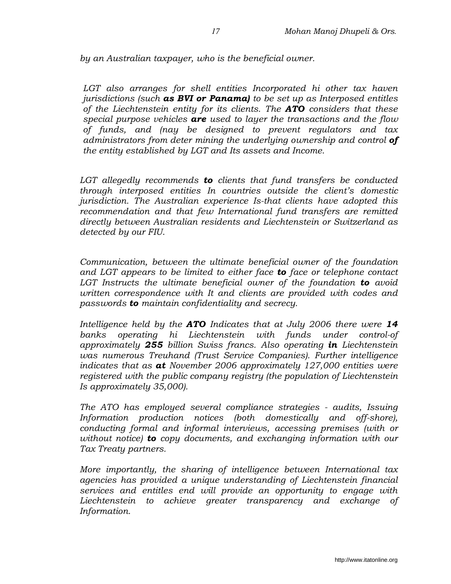by an Australian taxpayer, who is the beneficial owner.

LGT also arranges for shell entities Incorporated hi other tax haven jurisdictions (such **as BVI or Panama)** to be set up as Interposed entitles of the Liechtenstein entity for its clients. The  $ATO$  considers that these special purpose vehicles  $are$  used to layer the transactions and the flow of funds, and (nay be designed to prevent regulators and tax administrators from deter mining the underlying ownership and control of the entity established by LGT and Its assets and Income.

LGT allegedly recommends to clients that fund transfers be conducted through interposed entities In countries outside the client's domestic jurisdiction. The Australian experience Is-that clients have adopted this recommendation and that few International fund transfers are remitted directly between Australian residents and Liechtenstein or Switzerland as detected by our FIU.

Communication, between the ultimate beneficial owner of the foundation and LGT appears to be limited to either face to face or telephone contact LGT Instructs the ultimate beneficial owner of the foundation **to** avoid written correspondence with It and clients are provided with codes and passwords **to** maintain confidentiality and secrecy.

Intelligence held by the  $ATO$  Indicates that at July 2006 there were 14 banks operating hi Liechtenstein with funds under control-of approximately 255 billion Swiss francs. Also operating in Liechtenstein was numerous Treuhand (Trust Service Companies). Further intelligence indicates that as  $at$  November 2006 approximately 127,000 entities were registered with the public company registry (the population of Liechtenstein Is approximately 35,000).

The ATO has employed several compliance strategies - audits, Issuing Information production notices (both domestically and off-shore), conducting formal and informal interviews, accessing premises (with or without notice) **to** copy documents, and exchanging information with our Tax Treaty partners.

More importantly, the sharing of intelligence between International tax agencies has provided a unique understanding of Liechtenstein financial services and entitles end will provide an opportunity to engage with Liechtenstein to achieve greater transparency and exchange of Information.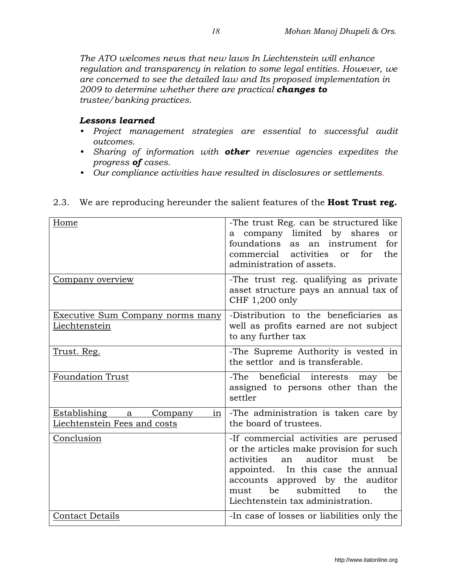The ATO welcomes news that new laws In Liechtenstein will enhance regulation and transparency in relation to some legal entities. However, we are concerned to see the detailed law and Its proposed implementation in 2009 to determine whether there are practical **changes to** trustee/banking practices.

#### Lessons learned

- Project management strategies are essential to successful audit outcomes.
- Sharing of information with **other** revenue agencies expedites the progress of cases.
- Our compliance activities have resulted in disclosures or settlements.

| Home                                                            | -The trust Reg. can be structured like<br>a company limited by shares<br>or<br>foundations as<br>for<br>an instrument<br>commercial activities<br>the<br>for<br>or<br>administration of assets.                                                                                      |
|-----------------------------------------------------------------|--------------------------------------------------------------------------------------------------------------------------------------------------------------------------------------------------------------------------------------------------------------------------------------|
| Company overview                                                | -The trust reg. qualifying as private<br>asset structure pays an annual tax of<br>CHF 1,200 only                                                                                                                                                                                     |
| Executive Sum Company norms many<br>Liechtenstein               | -Distribution to the beneficiaries as<br>well as profits earned are not subject<br>to any further tax                                                                                                                                                                                |
| <u>Trust. Reg.</u>                                              | -The Supreme Authority is vested in<br>the settlor and is transferable.                                                                                                                                                                                                              |
| <b>Foundation Trust</b>                                         | -The beneficial interests<br>be<br>may<br>assigned to persons other than the<br>settler                                                                                                                                                                                              |
| Establishing a<br>Company<br>1n<br>Liechtenstein Fees and costs | -The administration is taken care by<br>the board of trustees.                                                                                                                                                                                                                       |
| Conclusion                                                      | -If commercial activities are perused<br>or the articles make provision for such<br>activities<br>auditor<br>be<br>an<br>must<br>appointed. In this case the annual<br>accounts approved by the auditor<br>be<br>submitted<br>the<br>must<br>to<br>Liechtenstein tax administration. |
| <b>Contact Details</b>                                          | -In case of losses or liabilities only the                                                                                                                                                                                                                                           |

### 2.3. We are reproducing hereunder the salient features of the **Host Trust reg.**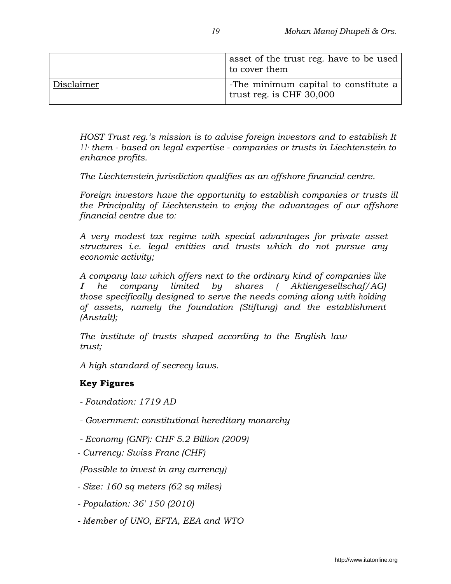|            | asset of the trust reg. have to be used<br>to cover them         |
|------------|------------------------------------------------------------------|
| Disclaimer | -The minimum capital to constitute a<br>trust reg. is CHF 30,000 |

HOST Trust reg.'s mission is to advise foreign investors and to establish It 11· them - based on legal expertise - companies or trusts in Liechtenstein to enhance profits.

The Liechtenstein jurisdiction qualifies as an offshore financial centre.

Foreign investors have the opportunity to establish companies or trusts ill the Principality of Liechtenstein to enjoy the advantages of our offshore financial centre due to:

A very modest tax regime with special advantages for private asset structures i.e. legal entities and trusts which do not pursue any economic activity;

A company law which offers next to the ordinary kind of companies like I he company limited by shares ( Aktiengesellschaf/AG) those specifically designed to serve the needs coming along with holding of assets, namely the foundation (Stiftung) and the establishment (Anstalt);

The institute of trusts shaped according to the English law trust;

A high standard of secrecy laws.

#### Key Figures

- Foundation: 1719 AD
- Government: constitutional hereditary monarchy
- Economy (GNP): CHF 5.2 Billion (2009)
- Currency: Swiss Franc (CHF)

(Possible to invest in any currency)

- Size: 160 sq meters (62 sq miles)
- Population: 36' 150 (2010)
- Member of UNO, EFTA, EEA and WTO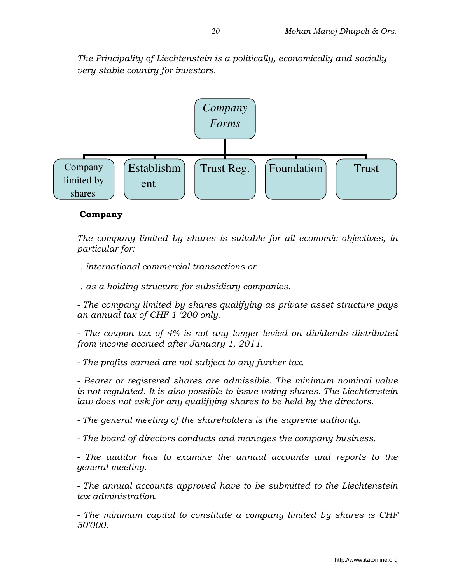The Principality of Liechtenstein is a politically, economically and socially very stable country for investors.



#### Company

The company limited by shares is suitable for all economic objectives, in particular for:

. international commercial transactions or

. as a holding structure for subsidiary companies.

- The company limited by shares qualifying as private asset structure pays an annual tax of CHF 1 '200 only.

- The coupon tax of 4% is not any longer levied on dividends distributed from income accrued after January 1, 2011.

- The profits earned are not subject to any further tax.

- Bearer or registered shares are admissible. The minimum nominal value is not regulated. It is also possible to issue voting shares. The Liechtenstein law does not ask for any qualifying shares to be held by the directors.

- The general meeting of the shareholders is the supreme authority.

- The board of directors conducts and manages the company business.

- The auditor has to examine the annual accounts and reports to the general meeting.

- The annual accounts approved have to be submitted to the Liechtenstein tax administration.

- The minimum capital to constitute a company limited by shares is CHF 50'000.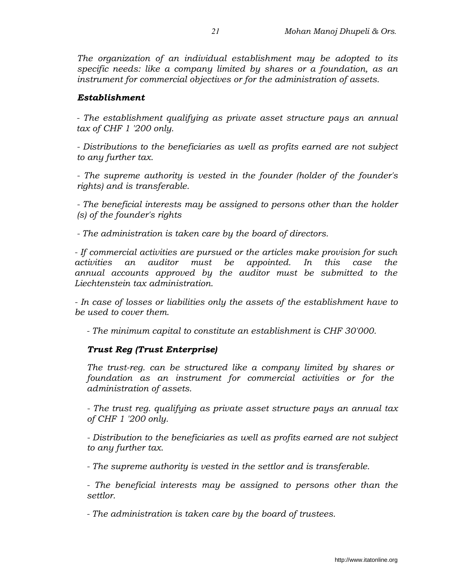The organization of an individual establishment may be adopted to its specific needs: like a company limited by shares or a foundation, as an instrument for commercial objectives or for the administration of assets.

### Establishment

- The establishment qualifying as private asset structure pays an annual tax of CHF 1 '200 only.

- Distributions to the beneficiaries as well as profits earned are not subject to any further tax.

- The supreme authority is vested in the founder (holder of the founder's rights) and is transferable.

- The beneficial interests may be assigned to persons other than the holder (s) of the founder's rights

- The administration is taken care by the board of directors.

- If commercial activities are pursued or the articles make provision for such activities an auditor must be appointed. In this case the annual accounts approved by the auditor must be submitted to the Liechtenstein tax administration.

- In case of losses or liabilities only the assets of the establishment have to be used to cover them.

- The minimum capital to constitute an establishment is CHF 30'000.

## Trust Reg (Trust Enterprise)

The trust-reg. can be structured like a company limited by shares or foundation as an instrument for commercial activities or for the administration of assets.

- The trust reg. qualifying as private asset structure pays an annual tax of CHF 1 '200 only.

- Distribution to the beneficiaries as well as profits earned are not subject to any further tax.

- The supreme authority is vested in the settlor and is transferable.

- The beneficial interests may be assigned to persons other than the settlor.

- The administration is taken care by the board of trustees.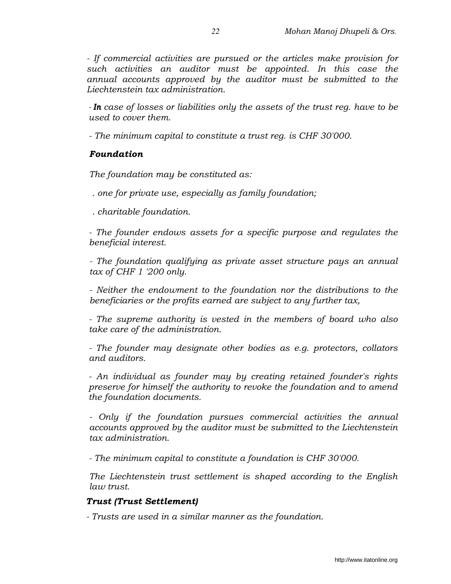- If commercial activities are pursued or the articles make provision for such activities an auditor must be appointed. In this case the annual accounts approved by the auditor must be submitted to the Liechtenstein tax administration.

- In case of losses or liabilities only the assets of the trust reg. have to be used to cover them.

- The minimum capital to constitute a trust reg. is CHF 30'000.

## Foundation

The foundation may be constituted as:

. one for private use, especially as family foundation;

. charitable foundation.

- The founder endows assets for a specific purpose and regulates the beneficial interest.

- The foundation qualifying as private asset structure pays an annual tax of CHF 1 '200 only.

- Neither the endowment to the foundation nor the distributions to the beneficiaries or the profits earned are subject to any further tax,

- The supreme authority is vested in the members of board who also take care of the administration.

- The founder may designate other bodies as e.g. protectors, collators and auditors.

- An individual as founder may by creating retained founder's rights preserve for himself the authority to revoke the foundation and to amend the foundation documents.

- Only if the foundation pursues commercial activities the annual accounts approved by the auditor must be submitted to the Liechtenstein tax administration.

- The minimum capital to constitute a foundation is CHF 30'000.

The Liechtenstein trust settlement is shaped according to the English law trust.

## Trust (Trust Settlement)

- Trusts are used in a similar manner as the foundation.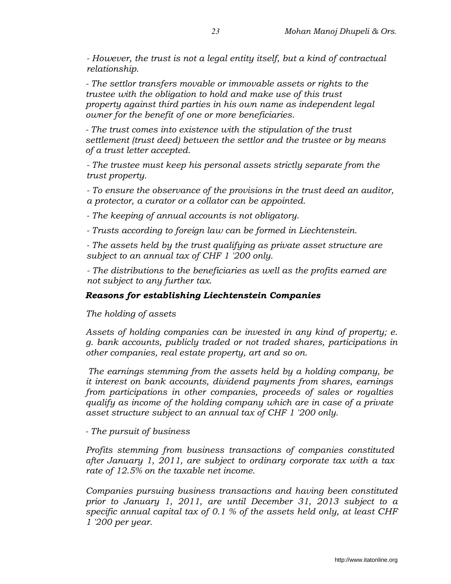- However, the trust is not a legal entity itself, but a kind of contractual relationship.

- The settlor transfers movable or immovable assets or rights to the trustee with the obligation to hold and make use of this trust property against third parties in his own name as independent legal owner for the benefit of one or more beneficiaries.

- The trust comes into existence with the stipulation of the trust settlement (trust deed) between the settlor and the trustee or by means of a trust letter accepted.

- The trustee must keep his personal assets strictly separate from the trust property.

- To ensure the observance of the provisions in the trust deed an auditor, a protector, a curator or a collator can be appointed.

- The keeping of annual accounts is not obligatory.

- Trusts according to foreign law can be formed in Liechtenstein.

- The assets held by the trust qualifying as private asset structure are subject to an annual tax of CHF 1 '200 only.

- The distributions to the beneficiaries as well as the profits earned are not subject to any further tax.

## Reasons for establishing Liechtenstein Companies

The holding of assets

Assets of holding companies can be invested in any kind of property; e. g. bank accounts, publicly traded or not traded shares, participations in other companies, real estate property, art and so on.

The earnings stemming from the assets held by a holding company, be it interest on bank accounts, dividend payments from shares, earnings from participations in other companies, proceeds of sales or royalties qualify as income of the holding company which are in case of a private asset structure subject to an annual tax of CHF 1 '200 only.

- The pursuit of business

Profits stemming from business transactions of companies constituted after January 1, 2011, are subject to ordinary corporate tax with a tax rate of 12.5% on the taxable net income.

Companies pursuing business transactions and having been constituted prior to January 1, 2011, are until December 31, 2013 subject to a specific annual capital tax of 0.1 % of the assets held only, at least CHF 1 '200 per year.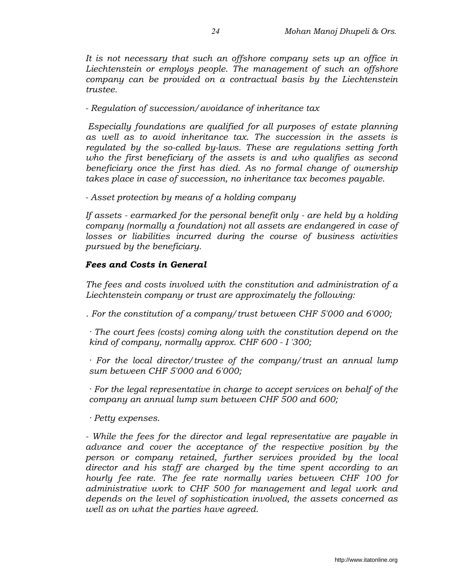It is not necessary that such an offshore company sets up an office in Liechtenstein or employs people. The management of such an offshore company can be provided on a contractual basis by the Liechtenstein trustee.

- Regulation of succession/avoidance of inheritance tax

Especially foundations are qualified for all purposes of estate planning as well as to avoid inheritance tax. The succession in the assets is regulated by the so-called by-laws. These are regulations setting forth who the first beneficiary of the assets is and who qualifies as second beneficiary once the first has died. As no formal change of ownership takes place in case of succession, no inheritance tax becomes payable.

- Asset protection by means of a holding company

If assets - earmarked for the personal benefit only - are held by a holding company (normally a foundation) not all assets are endangered in case of losses or liabilities incurred during the course of business activities pursued by the beneficiary.

#### Fees and Costs in General

The fees and costs involved with the constitution and administration of a Liechtenstein company or trust are approximately the following:

. For the constitution of a company/trust between CHF 5'000 and 6'000;

· The court fees (costs) coming along with the constitution depend on the kind of company, normally approx. CHF 600 - I '300;

· For the local director/trustee of the company/trust an annual lump sum between CHF 5'000 and 6'000;

· For the legal representative in charge to accept services on behalf of the company an annual lump sum between CHF 500 and 600;

· Petty expenses.

- While the fees for the director and legal representative are payable in advance and cover the acceptance of the respective position by the person or company retained, further services provided by the local director and his staff are charged by the time spent according to an hourly fee rate. The fee rate normally varies between CHF 100 for administrative work to CHF 500 for management and legal work and depends on the level of sophistication involved, the assets concerned as well as on what the parties have agreed.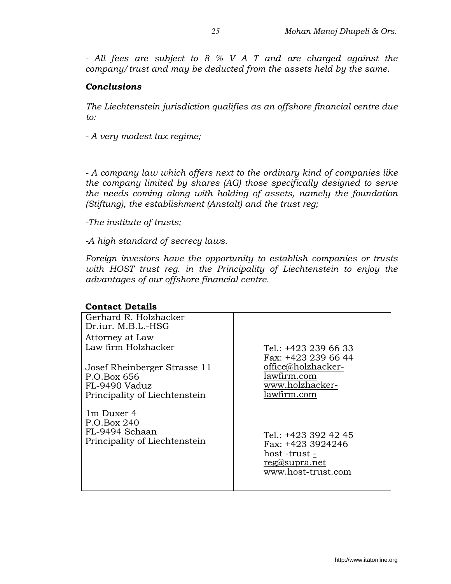- All fees are subject to 8 % V A T and are charged against the company/trust and may be deducted from the assets held by the same.

### Conclusions

The Liechtenstein jurisdiction qualifies as an offshore financial centre due to:

- A very modest tax regime;

- A company law which offers next to the ordinary kind of companies like the company limited by shares (AG) those specifically designed to serve the needs coming along with holding of assets, namely the foundation (Stiftung), the establishment (Anstalt) and the trust reg;

-The institute of trusts;

-A high standard of secrecy laws.

Foreign investors have the opportunity to establish companies or trusts with HOST trust reg. in the Principality of Liechtenstein to enjoy the advantages of our offshore financial centre.

#### Contact Details

| Gerhard R. Holzhacker                                                                         |                                                                                                   |
|-----------------------------------------------------------------------------------------------|---------------------------------------------------------------------------------------------------|
| Dr.iur. M.B.L.-HSG                                                                            |                                                                                                   |
| Attorney at Law                                                                               |                                                                                                   |
| Law firm Holzhacker                                                                           | Tel.: $+423$ 239 66 33                                                                            |
| Josef Rheinberger Strasse 11<br>P.O.Box 656<br>FL-9490 Vaduz<br>Principality of Liechtenstein | Fax: +423 239 66 44<br>office@holzhacker-<br>lawfirm.com<br>www.holzhacker-<br>lawfirm.com        |
| 1m Duxer 4<br>P.O.Box 240<br>FL-9494 Schaan<br>Principality of Liechtenstein                  | Tel.: +423 392 42 45<br>Fax: +423 3924246<br>host -trust -<br>reg@supra.net<br>www.host-trust.com |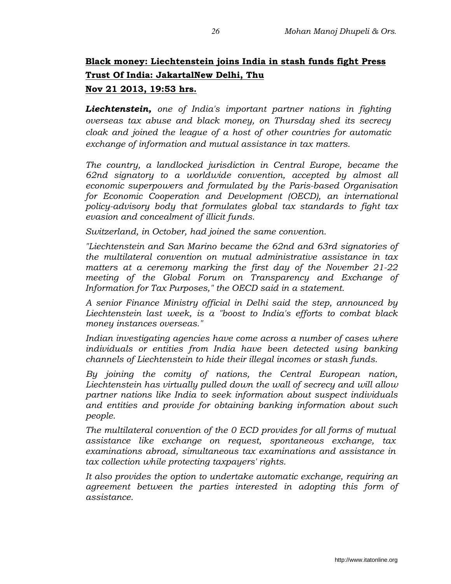# Black money: Liechtenstein joins India in stash funds fight Press Trust Of India: JakartalNew Delhi, Thu Nov 21 2013, 19:53 hrs.

Liechtenstein, one of India's important partner nations in fighting overseas tax abuse and black money, on Thursday shed its secrecy cloak and joined the league of a host of other countries for automatic exchange of information and mutual assistance in tax matters.

The country, a landlocked jurisdiction in Central Europe, became the 62nd signatory to a worldwide convention, accepted by almost all economic superpowers and formulated by the Paris-based Organisation for Economic Cooperation and Development (OECD), an international policy-advisory body that formulates global tax standards to fight tax evasion and concealment of illicit funds.

Switzerland, in October, had joined the same convention.

"Liechtenstein and San Marino became the 62nd and 63rd signatories of the multilateral convention on mutual administrative assistance in tax matters at a ceremony marking the first day of the November 21-22 meeting of the Global Forum on Transparency and Exchange of Information for Tax Purposes," the OECD said in a statement.

A senior Finance Ministry official in Delhi said the step, announced by Liechtenstein last week, is a "boost to India's efforts to combat black money instances overseas."

Indian investigating agencies have come across a number of cases where individuals or entities from India have been detected using banking channels of Liechtenstein to hide their illegal incomes or stash funds.

By joining the comity of nations, the Central European nation, Liechtenstein has virtually pulled down the wall of secrecy and will allow partner nations like India to seek information about suspect individuals and entities and provide for obtaining banking information about such people.

The multilateral convention of the 0 ECD provides for all forms of mutual assistance like exchange on request, spontaneous exchange, tax examinations abroad, simultaneous tax examinations and assistance in tax collection while protecting taxpayers' rights.

It also provides the option to undertake automatic exchange, requiring an agreement between the parties interested in adopting this form of assistance.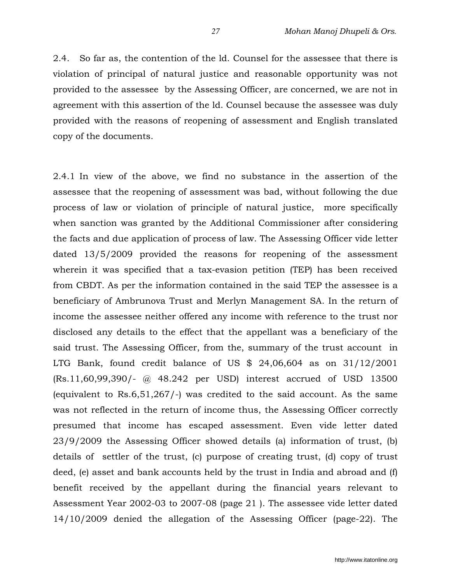2.4. So far as, the contention of the ld. Counsel for the assessee that there is violation of principal of natural justice and reasonable opportunity was not provided to the assessee by the Assessing Officer, are concerned, we are not in agreement with this assertion of the ld. Counsel because the assessee was duly provided with the reasons of reopening of assessment and English translated copy of the documents.

2.4.1 In view of the above, we find no substance in the assertion of the assessee that the reopening of assessment was bad, without following the due process of law or violation of principle of natural justice, more specifically when sanction was granted by the Additional Commissioner after considering the facts and due application of process of law. The Assessing Officer vide letter dated 13/5/2009 provided the reasons for reopening of the assessment wherein it was specified that a tax-evasion petition (TEP) has been received from CBDT. As per the information contained in the said TEP the assessee is a beneficiary of Ambrunova Trust and Merlyn Management SA. In the return of income the assessee neither offered any income with reference to the trust nor disclosed any details to the effect that the appellant was a beneficiary of the said trust. The Assessing Officer, from the, summary of the trust account in LTG Bank, found credit balance of US \$ 24,06,604 as on 31/12/2001 (Rs.11,60,99,390/- @ 48.242 per USD) interest accrued of USD 13500 (equivalent to Rs.6,51,267/-) was credited to the said account. As the same was not reflected in the return of income thus, the Assessing Officer correctly presumed that income has escaped assessment. Even vide letter dated 23/9/2009 the Assessing Officer showed details (a) information of trust, (b) details of settler of the trust, (c) purpose of creating trust, (d) copy of trust deed, (e) asset and bank accounts held by the trust in India and abroad and (f) benefit received by the appellant during the financial years relevant to Assessment Year 2002-03 to 2007-08 (page 21 ). The assessee vide letter dated 14/10/2009 denied the allegation of the Assessing Officer (page-22). The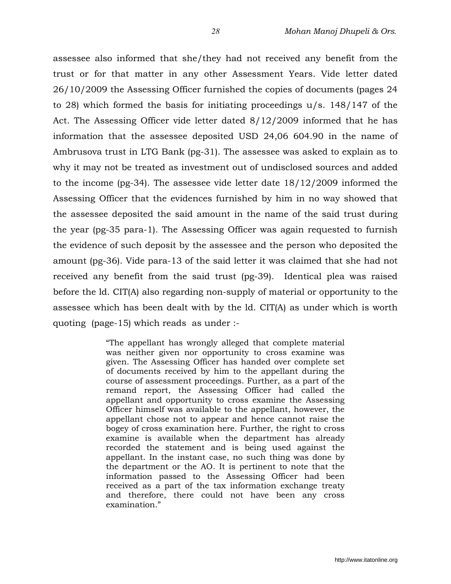assessee also informed that she/they had not received any benefit from the trust or for that matter in any other Assessment Years. Vide letter dated 26/10/2009 the Assessing Officer furnished the copies of documents (pages 24 to 28) which formed the basis for initiating proceedings u/s. 148/147 of the Act. The Assessing Officer vide letter dated 8/12/2009 informed that he has information that the assessee deposited USD 24,06 604.90 in the name of Ambrusova trust in LTG Bank (pg-31). The assessee was asked to explain as to why it may not be treated as investment out of undisclosed sources and added to the income (pg-34). The assessee vide letter date 18/12/2009 informed the Assessing Officer that the evidences furnished by him in no way showed that the assessee deposited the said amount in the name of the said trust during the year (pg-35 para-1). The Assessing Officer was again requested to furnish the evidence of such deposit by the assessee and the person who deposited the amount (pg-36). Vide para-13 of the said letter it was claimed that she had not received any benefit from the said trust (pg-39). Identical plea was raised before the ld. CIT(A) also regarding non-supply of material or opportunity to the assessee which has been dealt with by the ld. CIT(A) as under which is worth quoting (page-15) which reads as under :-

> "The appellant has wrongly alleged that complete material was neither given nor opportunity to cross examine was given. The Assessing Officer has handed over complete set of documents received by him to the appellant during the course of assessment proceedings. Further, as a part of the remand report, the Assessing Officer had called the appellant and opportunity to cross examine the Assessing Officer himself was available to the appellant, however, the appellant chose not to appear and hence cannot raise the bogey of cross examination here. Further, the right to cross examine is available when the department has already recorded the statement and is being used against the appellant. In the instant case, no such thing was done by the department or the AO. It is pertinent to note that the information passed to the Assessing Officer had been received as a part of the tax information exchange treaty and therefore, there could not have been any cross examination."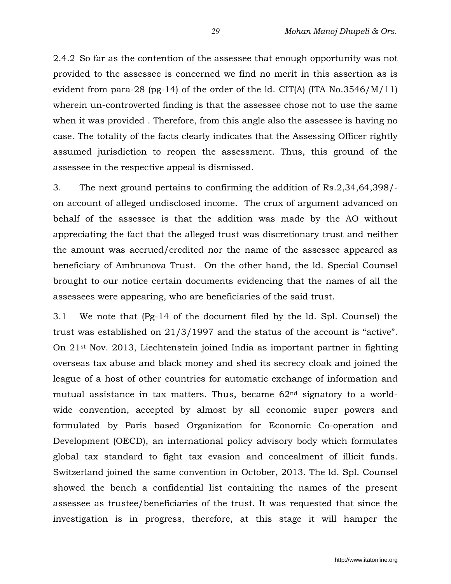2.4.2 So far as the contention of the assessee that enough opportunity was not provided to the assessee is concerned we find no merit in this assertion as is evident from para-28 (pg-14) of the order of the ld. CIT(A) (ITA  $No.3546/M/11$ ) wherein un-controverted finding is that the assessee chose not to use the same when it was provided . Therefore, from this angle also the assessee is having no case. The totality of the facts clearly indicates that the Assessing Officer rightly assumed jurisdiction to reopen the assessment. Thus, this ground of the assessee in the respective appeal is dismissed.

3. The next ground pertains to confirming the addition of Rs.2,34,64,398/ on account of alleged undisclosed income. The crux of argument advanced on behalf of the assessee is that the addition was made by the AO without appreciating the fact that the alleged trust was discretionary trust and neither the amount was accrued/credited nor the name of the assessee appeared as beneficiary of Ambrunova Trust. On the other hand, the ld. Special Counsel brought to our notice certain documents evidencing that the names of all the assessees were appearing, who are beneficiaries of the said trust.

3.1 We note that (Pg-14 of the document filed by the ld. Spl. Counsel) the trust was established on 21/3/1997 and the status of the account is "active". On 21st Nov. 2013, Liechtenstein joined India as important partner in fighting overseas tax abuse and black money and shed its secrecy cloak and joined the league of a host of other countries for automatic exchange of information and mutual assistance in tax matters. Thus, became  $62<sup>nd</sup>$  signatory to a worldwide convention, accepted by almost by all economic super powers and formulated by Paris based Organization for Economic Co-operation and Development (OECD), an international policy advisory body which formulates global tax standard to fight tax evasion and concealment of illicit funds. Switzerland joined the same convention in October, 2013. The ld. Spl. Counsel showed the bench a confidential list containing the names of the present assessee as trustee/beneficiaries of the trust. It was requested that since the investigation is in progress, therefore, at this stage it will hamper the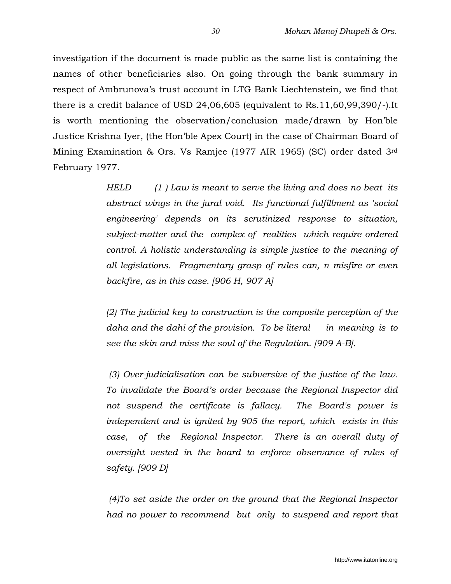investigation if the document is made public as the same list is containing the names of other beneficiaries also. On going through the bank summary in respect of Ambrunova's trust account in LTG Bank Liechtenstein, we find that there is a credit balance of USD 24,06,605 (equivalent to Rs.11,60,99,390/-).It is worth mentioning the observation/conclusion made/drawn by Hon'ble Justice Krishna Iyer, (the Hon'ble Apex Court) in the case of Chairman Board of Mining Examination & Ors. Vs Ramjee (1977 AIR 1965) (SC) order dated 3rd February 1977.

> HELD (1) Law is meant to serve the living and does no beat its abstract wings in the jural void. Its functional fulfillment as 'social engineering' depends on its scrutinized response to situation, subject-matter and the complex of realities which require ordered control. A holistic understanding is simple justice to the meaning of all legislations. Fragmentary grasp of rules can, n misfire or even backfire, as in this case. [906 H, 907 A]

> (2) The judicial key to construction is the composite perception of the daha and the dahi of the provision. To be literal in meaning is to see the skin and miss the soul of the Regulation. [909 A-B].

> (3) Over-judicialisation can be subversive of the justice of the law. To invalidate the Board's order because the Regional Inspector did not suspend the certificate is fallacy. The Board's power is independent and is ignited by 905 the report, which exists in this case, of the Regional Inspector. There is an overall duty of oversight vested in the board to enforce observance of rules of safety. [909 D]

> (4)To set aside the order on the ground that the Regional Inspector had no power to recommend but only to suspend and report that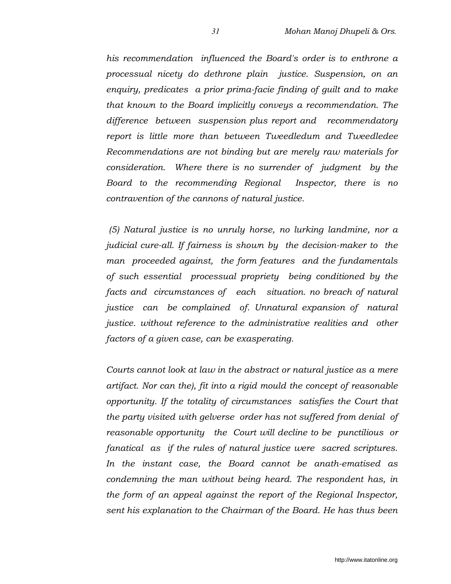his recommendation influenced the Board's order is to enthrone a processual nicety do dethrone plain justice. Suspension, on an enquiry, predicates a prior prima-facie finding of guilt and to make that known to the Board implicitly conveys a recommendation. The difference between suspension plus report and recommendatory report is little more than between Tweedledum and Tweedledee Recommendations are not binding but are merely raw materials for consideration. Where there is no surrender of judgment by the Board to the recommending Regional Inspector, there is no contravention of the cannons of natural justice.

 (5) Natural justice is no unruly horse, no lurking landmine, nor a judicial cure-all. If fairness is shown by the decision-maker to the man proceeded against, the form features and the fundamentals of such essential processual propriety being conditioned by the facts and circumstances of each situation. no breach of natural justice can be complained of. Unnatural expansion of natural justice. without reference to the administrative realities and other factors of a given case, can be exasperating.

Courts cannot look at law in the abstract or natural justice as a mere artifact. Nor can the), fit into a rigid mould the concept of reasonable opportunity. If the totality of circumstances satisfies the Court that the party visited with gelverse order has not suffered from denial of reasonable opportunity the Court will decline to be punctilious or fanatical as if the rules of natural justice were sacred scriptures. In the instant case, the Board cannot be anath-ematised as condemning the man without being heard. The respondent has, in the form of an appeal against the report of the Regional Inspector, sent his explanation to the Chairman of the Board. He has thus been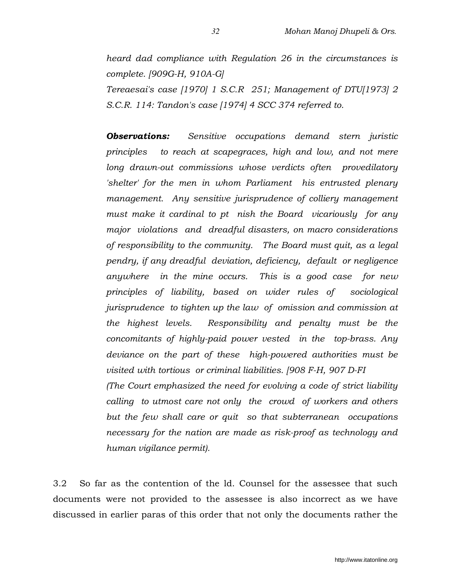heard dad compliance with Regulation 26 in the circumstances is complete. [909G-H, 910A-G] Tereaesai's case [1970] 1 S.C.R 251; Management of DTU[1973] 2

S.C.R. 114: Tandon's case [1974] 4 SCC 374 referred to.

**Observations:** Sensitive occupations demand stern juristic principles to reach at scapegraces, high and low, and not mere long drawn-out commissions whose verdicts often provedilatory 'shelter' for the men in whom Parliament his entrusted plenary management. Any sensitive jurisprudence of colliery management must make it cardinal to pt nish the Board vicariously for any major violations and dreadful disasters, on macro considerations of responsibility to the community. The Board must quit, as a legal pendry, if any dreadful deviation, deficiency, default or negligence anywhere in the mine occurs. This is a good case for new principles of liability, based on wider rules of sociological jurisprudence to tighten up the law of omission and commission at the highest levels. Responsibility and penalty must be the concomitants of highly-paid power vested in the top-brass. Any deviance on the part of these high-powered authorities must be visited with tortious or criminal liabilities. [908 F-H, 907 D-FI

(The Court emphasized the need for evolving a code of strict liability calling to utmost care not only the crowd of workers and others but the few shall care or quit so that subterranean occupations necessary for the nation are made as risk-proof as technology and human vigilance permit).

3.2 So far as the contention of the ld. Counsel for the assessee that such documents were not provided to the assessee is also incorrect as we have discussed in earlier paras of this order that not only the documents rather the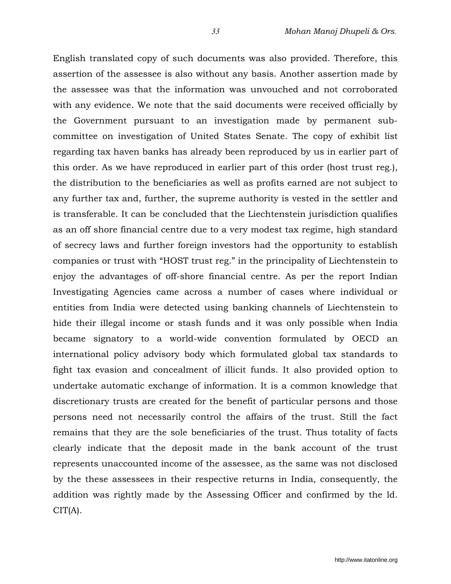English translated copy of such documents was also provided. Therefore, this assertion of the assessee is also without any basis. Another assertion made by the assessee was that the information was unvouched and not corroborated with any evidence. We note that the said documents were received officially by the Government pursuant to an investigation made by permanent subcommittee on investigation of United States Senate. The copy of exhibit list regarding tax haven banks has already been reproduced by us in earlier part of this order. As we have reproduced in earlier part of this order (host trust reg.), the distribution to the beneficiaries as well as profits earned are not subject to any further tax and, further, the supreme authority is vested in the settler and is transferable. It can be concluded that the Liechtenstein jurisdiction qualifies as an off shore financial centre due to a very modest tax regime, high standard of secrecy laws and further foreign investors had the opportunity to establish companies or trust with "HOST trust reg." in the principality of Liechtenstein to enjoy the advantages of off-shore financial centre. As per the report Indian Investigating Agencies came across a number of cases where individual or entities from India were detected using banking channels of Liechtenstein to hide their illegal income or stash funds and it was only possible when India became signatory to a world-wide convention formulated by OECD an international policy advisory body which formulated global tax standards to fight tax evasion and concealment of illicit funds. It also provided option to undertake automatic exchange of information. It is a common knowledge that discretionary trusts are created for the benefit of particular persons and those persons need not necessarily control the affairs of the trust. Still the fact remains that they are the sole beneficiaries of the trust. Thus totality of facts clearly indicate that the deposit made in the bank account of the trust represents unaccounted income of the assessee, as the same was not disclosed by the these assessees in their respective returns in India, consequently, the addition was rightly made by the Assessing Officer and confirmed by the ld.  $CIT(A).$